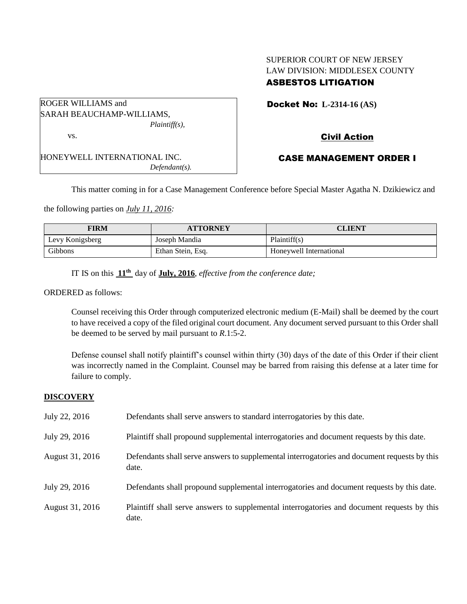## SUPERIOR COURT OF NEW JERSEY LAW DIVISION: MIDDLESEX COUNTY ASBESTOS LITIGATION

| ROGER WILLIAMS and           |
|------------------------------|
| SARAH BEAUCHAMP-WILLIAMS,    |
| $Plaintiff(s)$ ,             |
| VS.                          |
|                              |
| HONEYWELL INTERNATIONAL INC. |
| $Defendant(s)$ .             |

Docket No: **L-2314-16 (AS)** 

# Civil Action

## CASE MANAGEMENT ORDER I

This matter coming in for a Case Management Conference before Special Master Agatha N. Dzikiewicz and

the following parties on *July 11, 2016:*

| FIRM            | <b>ATTORNEY</b>   | CLIENT                  |
|-----------------|-------------------|-------------------------|
| Levy Konigsberg | Joseph Mandia     | Plaintiff(s)            |
| Gibbons         | Ethan Stein, Esq. | Honeywell International |

IT IS on this **11th** day of **July, 2016**, *effective from the conference date;*

ORDERED as follows:

Counsel receiving this Order through computerized electronic medium (E-Mail) shall be deemed by the court to have received a copy of the filed original court document. Any document served pursuant to this Order shall be deemed to be served by mail pursuant to *R*.1:5-2.

Defense counsel shall notify plaintiff's counsel within thirty (30) days of the date of this Order if their client was incorrectly named in the Complaint. Counsel may be barred from raising this defense at a later time for failure to comply.

## **DISCOVERY**

| July 22, 2016   | Defendants shall serve answers to standard interrogatories by this date.                              |
|-----------------|-------------------------------------------------------------------------------------------------------|
| July 29, 2016   | Plaintiff shall propound supplemental interrogatories and document requests by this date.             |
| August 31, 2016 | Defendants shall serve answers to supplemental interrogatories and document requests by this<br>date. |
| July 29, 2016   | Defendants shall propound supplemental interrogatories and document requests by this date.            |
| August 31, 2016 | Plaintiff shall serve answers to supplemental interrogatories and document requests by this<br>date.  |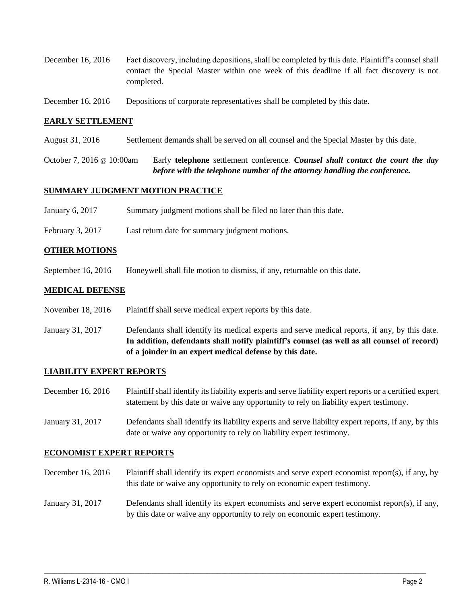- December 16, 2016 Fact discovery, including depositions, shall be completed by this date. Plaintiff's counsel shall contact the Special Master within one week of this deadline if all fact discovery is not completed.
- December 16, 2016 Depositions of corporate representatives shall be completed by this date.

## **EARLY SETTLEMENT**

- August 31, 2016 Settlement demands shall be served on all counsel and the Special Master by this date.
- October 7, 2016 @ 10:00am Early **telephone** settlement conference*. Counsel shall contact the court the day before with the telephone number of the attorney handling the conference.*

#### **SUMMARY JUDGMENT MOTION PRACTICE**

- January 6, 2017 Summary judgment motions shall be filed no later than this date.
- February 3, 2017 Last return date for summary judgment motions.

#### **OTHER MOTIONS**

September 16, 2016 Honeywell shall file motion to dismiss, if any, returnable on this date.

## **MEDICAL DEFENSE**

- November 18, 2016 Plaintiff shall serve medical expert reports by this date.
- January 31, 2017 Defendants shall identify its medical experts and serve medical reports, if any, by this date. **In addition, defendants shall notify plaintiff's counsel (as well as all counsel of record) of a joinder in an expert medical defense by this date.**

## **LIABILITY EXPERT REPORTS**

- December 16, 2016 Plaintiff shall identify its liability experts and serve liability expert reports or a certified expert statement by this date or waive any opportunity to rely on liability expert testimony.
- January 31, 2017 Defendants shall identify its liability experts and serve liability expert reports, if any, by this date or waive any opportunity to rely on liability expert testimony.

#### **ECONOMIST EXPERT REPORTS**

- December 16, 2016 Plaintiff shall identify its expert economists and serve expert economist report(s), if any, by this date or waive any opportunity to rely on economic expert testimony.
- January 31, 2017 Defendants shall identify its expert economists and serve expert economist report(s), if any, by this date or waive any opportunity to rely on economic expert testimony.

 $\_$  , and the set of the set of the set of the set of the set of the set of the set of the set of the set of the set of the set of the set of the set of the set of the set of the set of the set of the set of the set of th